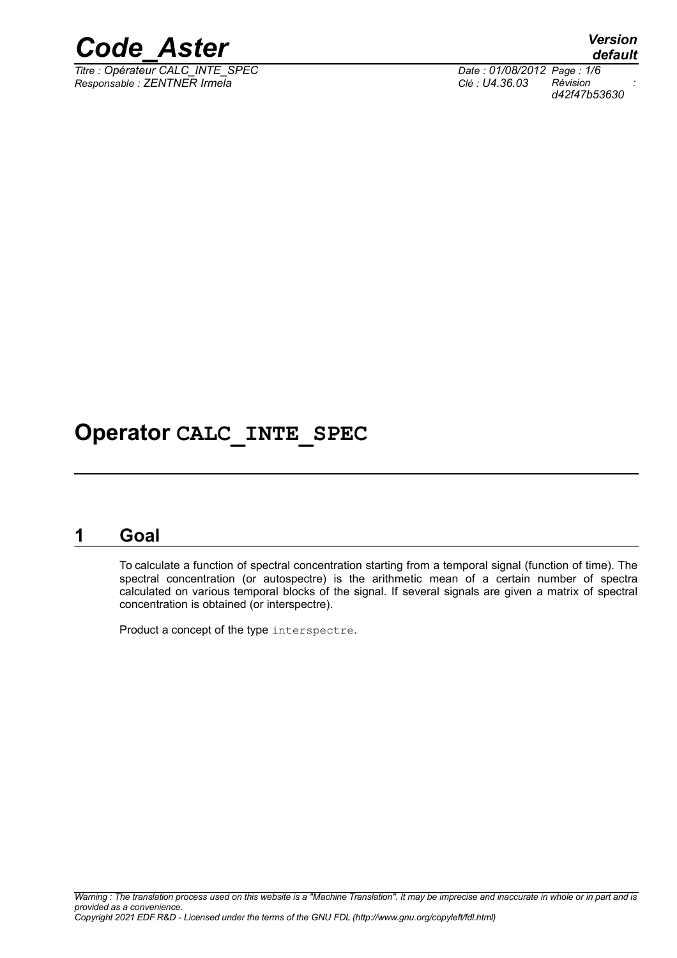

 $\overline{T}$ itre : Opérateur CALC\_INTE\_SPEC *Responsable : ZENTNER Irmela Clé : U4.36.03 Révision :*

*default d42f47b53630*

# **Operator CALC\_INTE\_SPEC**

## **1 Goal**

To calculate a function of spectral concentration starting from a temporal signal (function of time). The spectral concentration (or autospectre) is the arithmetic mean of a certain number of spectra calculated on various temporal blocks of the signal. If several signals are given a matrix of spectral concentration is obtained (or interspectre).

Product a concept of the type interspectre.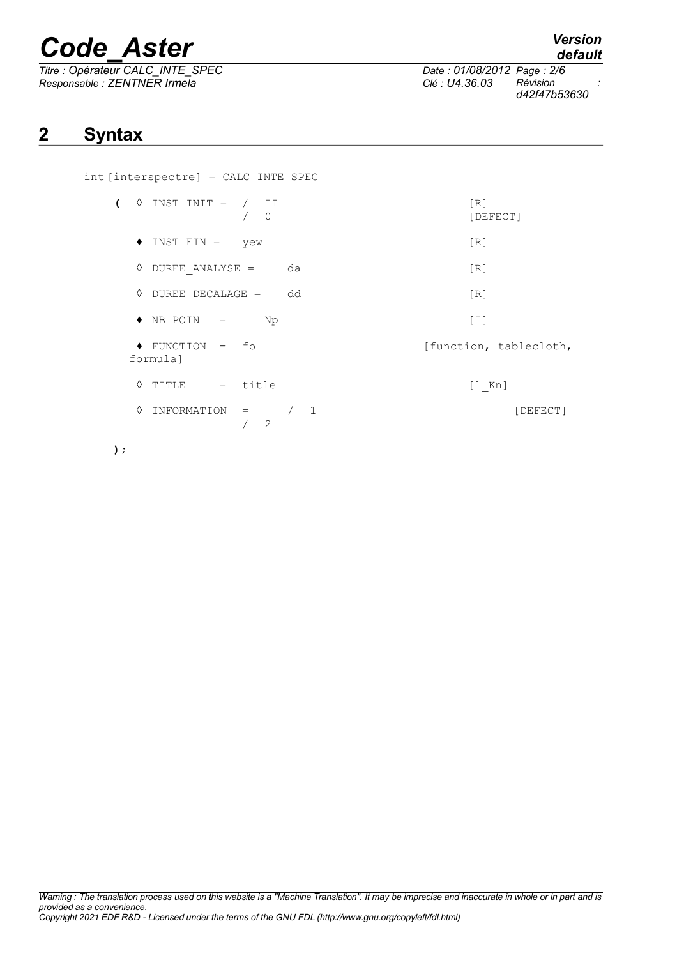*Titre : Opérateur CALC\_INTE\_SPEC Date : 01/08/2012 Page : 2/6 Responsable : ZENTNER Irmela Clé : U4.36.03 Révision :*

*default*

*d42f47b53630*

# **2 Syntax**

| $int [interspectre] = CALC$ INTE SPEC                 |                        |
|-------------------------------------------------------|------------------------|
| ♦<br>INST INIT = $/$ II<br>$\overline{ }$<br>$\Omega$ | [R]<br>[DEFECT]        |
| $INST$ $FIN =$<br>٠<br>yew                            | [R]                    |
| DUREE ANALYSE =<br>♦<br>da                            | [R]                    |
| DUREE DECALAGE =<br>♦<br>dd                           | [R]                    |
| $\bullet$ NB POIN =<br>Np                             | [T]                    |
| $\bullet$ FUNCTION = fo<br>formula]                   | [function, tablecloth, |
| ♦<br>TITLE = title                                    | $[1$ Kn]               |
| ♦<br>$\sqrt{1}$<br>INFORMATION =<br>2                 | [DEFECT]               |
| );                                                    |                        |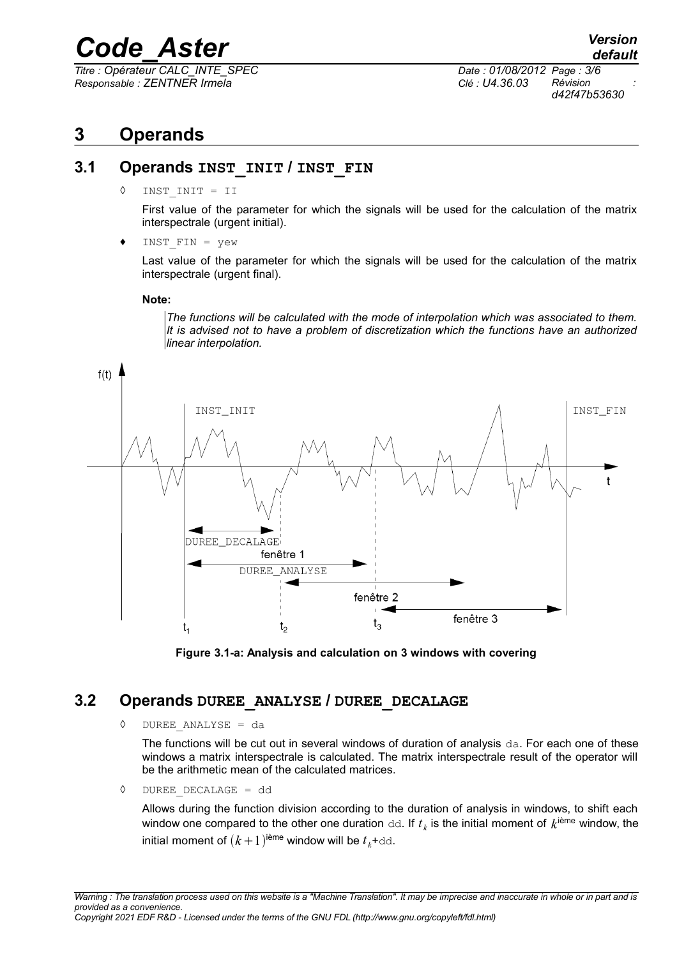*Titre : Opérateur CALC\_INTE\_SPEC Date : 01/08/2012 Page : 3/6 Responsable : ZENTNER Irmela Clé : U4.36.03 Révision :*

*d42f47b53630*

# **3 Operands**

## **3.1 Operands INST\_INIT / INST\_FIN**

◊ INST\_INIT = II

First value of the parameter for which the signals will be used for the calculation of the matrix interspectrale (urgent initial).

 $\triangleleft$  INST FIN = yew

Last value of the parameter for which the signals will be used for the calculation of the matrix interspectrale (urgent final).

#### **Note:**

*The functions will be calculated with the mode of interpolation which was associated to them. It is advised not to have a problem of discretization which the functions have an authorized linear interpolation.*



**Figure 3.1-a: Analysis and calculation on 3 windows with covering**

### **3.2 Operands DUREE\_ANALYSE / DUREE\_DECALAGE**

◊ DUREE\_ANALYSE = da

The functions will be cut out in several windows of duration of analysis da. For each one of these windows a matrix interspectrale is calculated. The matrix interspectrale result of the operator will be the arithmetic mean of the calculated matrices.

◊ DUREE\_DECALAGE = dd

Allows during the function division according to the duration of analysis in windows, to shift each window one compared to the other one duration  $\text{dd.}$  If  $t_{k}$  is the initial moment of  $k^{\text{ieme}}$  window, the initial moment of  $(k+1)^{\text{ieme}}$  window will be  $t_k$ +dd.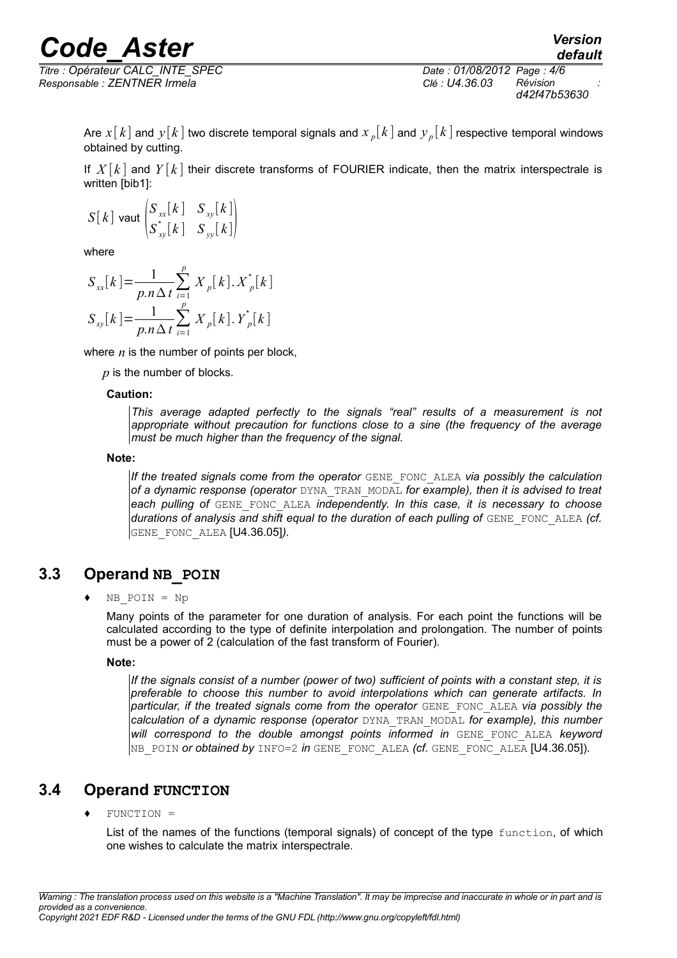*Titre : Opérateur CALC\_INTE\_SPEC Date : 01/08/2012 Page : 4/6 Responsable : ZENTNER Irmela Clé : U4.36.03 Révision :*

*d42f47b53630*

*default*

Are  $x[\,k\,]$  and  $y[\,k\,]$  two discrete temporal signals and  $x_{\,\,p}[\,k\,]$  and  $y_{\,\,p}[\,k\,]$  respective temporal windows obtained by cutting.

If  $X[k]$  and  $Y[k]$  their discrete transforms of FOURIER indicate, then the matrix interspectrale is written [bib1]:

$$
S[k] \text{ vaut}\begin{pmatrix} S_{xx}[k] & S_{xy}[k] \\ S_{xy}^*[k] & S_{yy}[k] \end{pmatrix}
$$

where

$$
S_{xx}[k] = \frac{1}{p.n \Delta t} \sum_{i=1}^{p} X_{p}[k].X_{p}^{*}[k]
$$

$$
S_{xy}[k] = \frac{1}{p.n \Delta t} \sum_{i=1}^{p} X_{p}[k].Y_{p}^{*}[k]
$$

where  $n$  is the number of points per block,

*p* is the number of blocks.

#### **Caution:**

*This average adapted perfectly to the signals "real" results of a measurement is not appropriate without precaution for functions close to a sine (the frequency of the average must be much higher than the frequency of the signal.*

#### **Note:**

*If the treated signals come from the operator* GENE\_FONC\_ALEA *via possibly the calculation of a dynamic response (operator* DYNA\_TRAN\_MODAL *for example), then it is advised to treat each pulling of* GENE\_FONC\_ALEA *independently. In this case, it is necessary to choose* durations of analysis and shift equal to the duration of each pulling of GENE FONC ALEA (cf. GENE\_FONC\_ALEA [U4.36.05]*).*

### **3.3 Operand NB\_POIN**

#### $NB$  POIN = Np

Many points of the parameter for one duration of analysis. For each point the functions will be calculated according to the type of definite interpolation and prolongation. The number of points must be a power of 2 (calculation of the fast transform of Fourier).

#### **Note:**

*If the signals consist of a number (power of two) sufficient of points with a constant step, it is preferable to choose this number to avoid interpolations which can generate artifacts. In particular, if the treated signals come from the operator* GENE\_FONC\_ALEA *via possibly the calculation of a dynamic response (operator* DYNA\_TRAN\_MODAL *for example), this number will correspond to the double amongst points informed in* GENE\_FONC\_ALEA *keyword* NB\_POIN *or obtained by* INFO=2 *in* GENE\_FONC\_ALEA *(cf.* GENE\_FONC\_ALEA [U4.36.05])*.*

### **3.4 Operand FUNCTION**

 $FUNCTION =$ 

List of the names of the functions (temporal signals) of concept of the type function, of which one wishes to calculate the matrix interspectrale.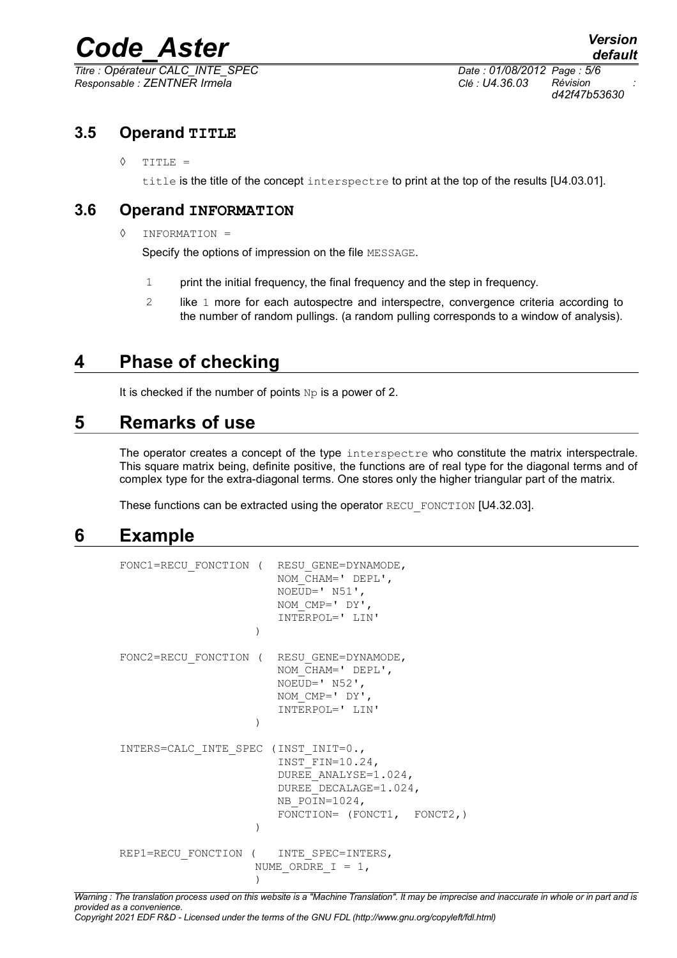*Titre : Opérateur CALC\_INTE\_SPEC Date : 01/08/2012 Page : 5/6 Responsable : ZENTNER Irmela Clé : U4.36.03 Révision :*

*d42f47b53630*

## **3.5 Operand TITLE**

◊ TITLE =

title is the title of the concept interspectre to print at the top of the results [U4.03.01].

### **3.6 Operand INFORMATION**

◊ INFORMATION =

Specify the options of impression on the file MESSAGE.

- 1 print the initial frequency, the final frequency and the step in frequency.
- 2 like 1 more for each autospectre and interspectre, convergence criteria according to the number of random pullings. (a random pulling corresponds to a window of analysis).

# **4 Phase of checking**

It is checked if the number of points  $Np$  is a power of 2.

# **5 Remarks of use**

The operator creates a concept of the type interspectre who constitute the matrix interspectrale. This square matrix being, definite positive, the functions are of real type for the diagonal terms and of complex type for the extra-diagonal terms. One stores only the higher triangular part of the matrix.

These functions can be extracted using the operator RECU\_FONCTION [U4.32.03].

## **6 Example**

```
FONC1=RECU_FONCTION ( RESU_GENE=DYNAMODE,
                        NOM_CHAM=' DEPL',
                        NOEUD=' N51',NOM_CMP=' DY',
                        INTERPOL=' LIN'
                    )
FONC2=RECU_FONCTION ( RESU GENE=DYNAMODE,
                        NOM_CHAM=' DEPL',
                        NOEUD=' N52',
                        NOM_CMP=' DY',
                        INTERPOL=' LIN'
                    )
INTERS=CALC_INTE_SPEC (INST_INIT=0.,
                        INST_FIN=10.24, 
                        DUREE_ANALYSE=1.024, 
                        DUREE DECALAGE=1.024,
                        NB_POIN=1024,
                        FONCTION= (FONCT1, FONCT2,)
                    )
REP1=RECU_FONCTION ( INTE_SPEC=INTERS,
                    NUME ORDRE I = 1,
                    )
```
*Warning : The translation process used on this website is a "Machine Translation". It may be imprecise and inaccurate in whole or in part and is provided as a convenience. Copyright 2021 EDF R&D - Licensed under the terms of the GNU FDL (http://www.gnu.org/copyleft/fdl.html)*